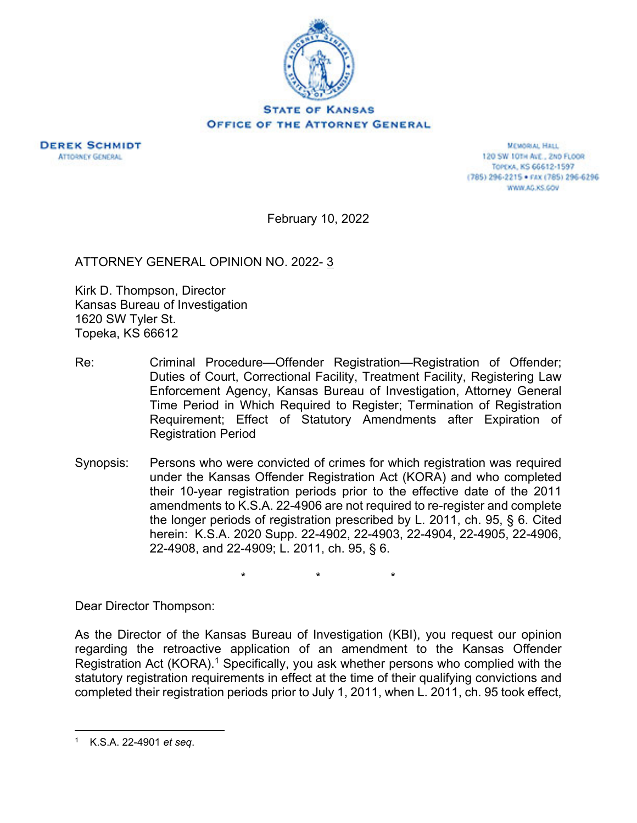



MEMORIAL HALL 120 SW 101H AVE., 2ND FLOOR TOPEXA, KS 66612-1597 (785) 296-2215 · FAX (785) 296-6296 WWW.AG.KS.GOV

February 10, 2022

ATTORNEY GENERAL OPINION NO. 2022-3

Kirk D. Thompson, Director Kansas Bureau of Investigation 1620 SW Tyler St. Topeka, KS 66612

- Re: Criminal Procedure—Offender Registration—Registration of Offender; Duties of Court, Correctional Facility, Treatment Facility, Registering Law Enforcement Agency, Kansas Bureau of Investigation, Attorney General Time Period in Which Required to Register; Termination of Registration Requirement; Effect of Statutory Amendments after Expiration of Registration Period
- Synopsis: Persons who were convicted of crimes for which registration was required under the Kansas Offender Registration Act (KORA) and who completed their 10-year registration periods prior to the effective date of the 2011 amendments to K.S.A. 22-4906 are not required to re-register and complete the longer periods of registration prescribed by L. 2011, ch. 95, § 6. Cited herein: K.S.A. 2020 Supp. 22-4902, 22-4903, 22-4904, 22-4905, 22-4906, 22-4908, and 22-4909; L. 2011, ch. 95, § 6.

\* \* \*

Dear Director Thompson:

As the Director of the Kansas Bureau of Investigation (KBI), you request our opinion regarding the retroactive application of an amendment to the Kansas Offender Registration Act (KORA).<sup>1</sup> Specifically, you ask whether persons who complied with the statutory registration requirements in effect at the time of their qualifying convictions and completed their registration periods prior to July 1, 2011, when L. 2011, ch. 95 took effect,

<sup>1</sup> K.S.A. 22-4901 *et seq*.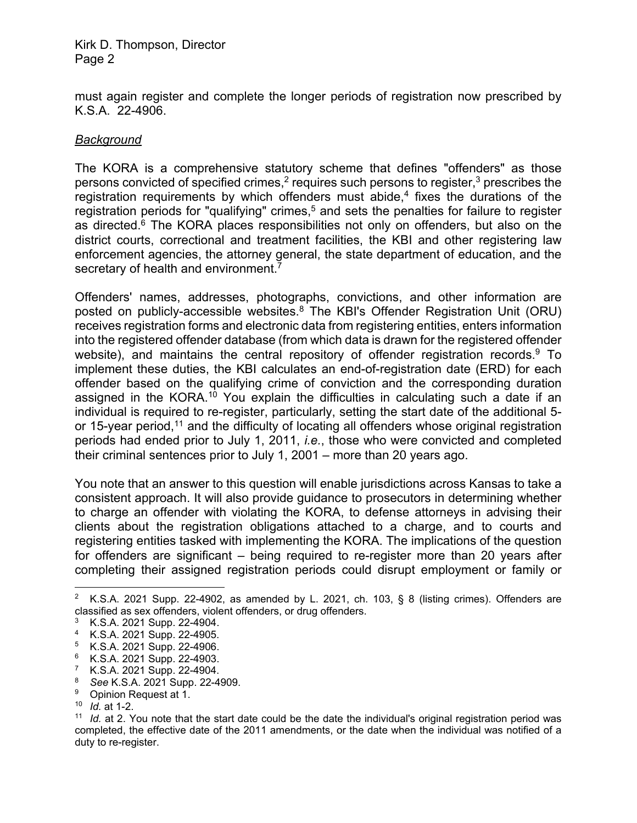must again register and complete the longer periods of registration now prescribed by K.S.A. 22-4906.

### *Background*

The KORA is a comprehensive statutory scheme that defines "offenders" as those persons convicted of specified crimes,<sup>2</sup> requires such persons to register, $3$  prescribes the registration requirements by which offenders must abide,<sup>4</sup> fixes the durations of the registration periods for "qualifying" crimes,<sup>5</sup> and sets the penalties for failure to register as directed. $6$  The KORA places responsibilities not only on offenders, but also on the district courts, correctional and treatment facilities, the KBI and other registering law enforcement agencies, the attorney general, the state department of education, and the secretary of health and environment.<sup>7</sup>

Offenders' names, addresses, photographs, convictions, and other information are posted on publicly-accessible websites.8 The KBI's Offender Registration Unit (ORU) receives registration forms and electronic data from registering entities, enters information into the registered offender database (from which data is drawn for the registered offender website), and maintains the central repository of offender registration records.  $9$  To implement these duties, the KBI calculates an end-of-registration date (ERD) for each offender based on the qualifying crime of conviction and the corresponding duration assigned in the KORA.10 You explain the difficulties in calculating such a date if an individual is required to re-register, particularly, setting the start date of the additional 5 or 15-year period,<sup>11</sup> and the difficulty of locating all offenders whose original registration periods had ended prior to July 1, 2011, *i.e.*, those who were convicted and completed their criminal sentences prior to July 1, 2001 – more than 20 years ago.

You note that an answer to this question will enable jurisdictions across Kansas to take a consistent approach. It will also provide guidance to prosecutors in determining whether to charge an offender with violating the KORA, to defense attorneys in advising their clients about the registration obligations attached to a charge, and to courts and registering entities tasked with implementing the KORA. The implications of the question for offenders are significant – being required to re-register more than 20 years after completing their assigned registration periods could disrupt employment or family or

<sup>2</sup> K.S.A. 2021 Supp. 22-4902, as amended by L. 2021, ch. 103, § 8 (listing crimes). Offenders are classified as sex offenders, violent offenders, or drug offenders.

<sup>3</sup> K.S.A. 2021 Supp. 22-4904.

<sup>4</sup> K.S.A. 2021 Supp. 22-4905.

<sup>5</sup> K.S.A. 2021 Supp. 22-4906.

<sup>6</sup> K.S.A. 2021 Supp. 22-4903.

<sup>7</sup> K.S.A. 2021 Supp. 22-4904.

<sup>8</sup> *See* K.S.A. 2021 Supp. 22-4909.

<sup>9</sup> Opinion Request at 1.

<sup>10</sup> *Id.* at 1-2.

<sup>11</sup> *Id.* at 2. You note that the start date could be the date the individual's original registration period was completed, the effective date of the 2011 amendments, or the date when the individual was notified of a duty to re-register.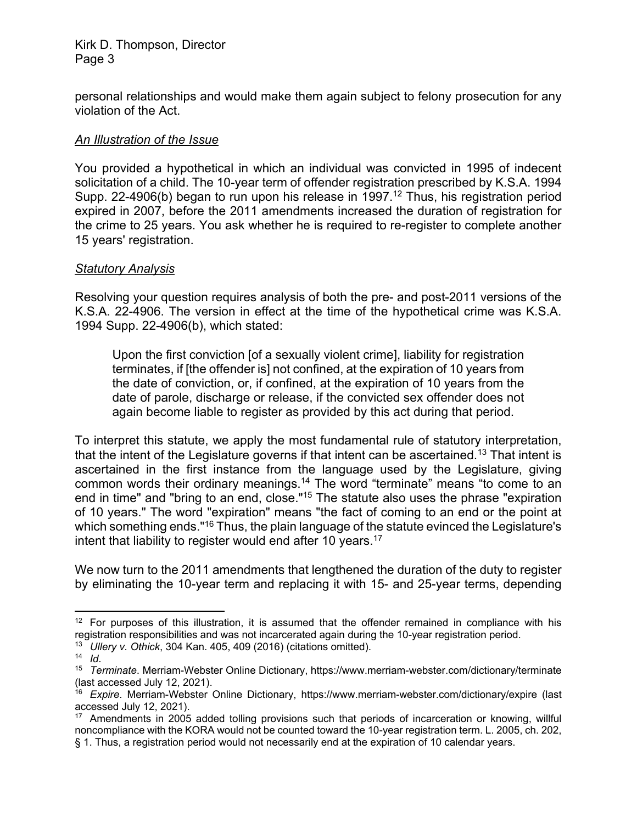personal relationships and would make them again subject to felony prosecution for any violation of the Act.

### *An Illustration of the Issue*

You provided a hypothetical in which an individual was convicted in 1995 of indecent solicitation of a child. The 10-year term of offender registration prescribed by K.S.A. 1994 Supp. 22-4906(b) began to run upon his release in 1997.<sup>12</sup> Thus, his registration period expired in 2007, before the 2011 amendments increased the duration of registration for the crime to 25 years. You ask whether he is required to re-register to complete another 15 years' registration.

### *Statutory Analysis*

Resolving your question requires analysis of both the pre- and post-2011 versions of the K.S.A. 22-4906. The version in effect at the time of the hypothetical crime was K.S.A. 1994 Supp. 22-4906(b), which stated:

Upon the first conviction [of a sexually violent crime], liability for registration terminates, if [the offender is] not confined, at the expiration of 10 years from the date of conviction, or, if confined, at the expiration of 10 years from the date of parole, discharge or release, if the convicted sex offender does not again become liable to register as provided by this act during that period.

To interpret this statute, we apply the most fundamental rule of statutory interpretation, that the intent of the Legislature governs if that intent can be ascertained.<sup>13</sup> That intent is ascertained in the first instance from the language used by the Legislature, giving common words their ordinary meanings.14 The word "terminate" means "to come to an end in time" and "bring to an end, close."15 The statute also uses the phrase "expiration of 10 years." The word "expiration" means "the fact of coming to an end or the point at which something ends.<sup>"16</sup> Thus, the plain language of the statute evinced the Legislature's intent that liability to register would end after 10 years.<sup>17</sup>

We now turn to the 2011 amendments that lengthened the duration of the duty to register by eliminating the 10-year term and replacing it with 15- and 25-year terms, depending

 $12$  For purposes of this illustration, it is assumed that the offender remained in compliance with his registration responsibilities and was not incarcerated again during the 10-year registration period. 13 *Ullery v. Othick*, 304 Kan. 405, 409 (2016) (citations omitted).

<sup>&</sup>lt;sup>15</sup> *Terminate*. Merriam-Webster Online Dictionary, https://www.merriam-webster.com/dictionary/terminate (last accessed July 12, 2021).

<sup>16</sup> *Expire*. Merriam-Webster Online Dictionary, https://www.merriam-webster.com/dictionary/expire (last accessed July 12, 2021).

<sup>&</sup>lt;sup>17</sup> Amendments in 2005 added tolling provisions such that periods of incarceration or knowing, willful noncompliance with the KORA would not be counted toward the 10-year registration term. L. 2005, ch. 202, § 1. Thus, a registration period would not necessarily end at the expiration of 10 calendar years.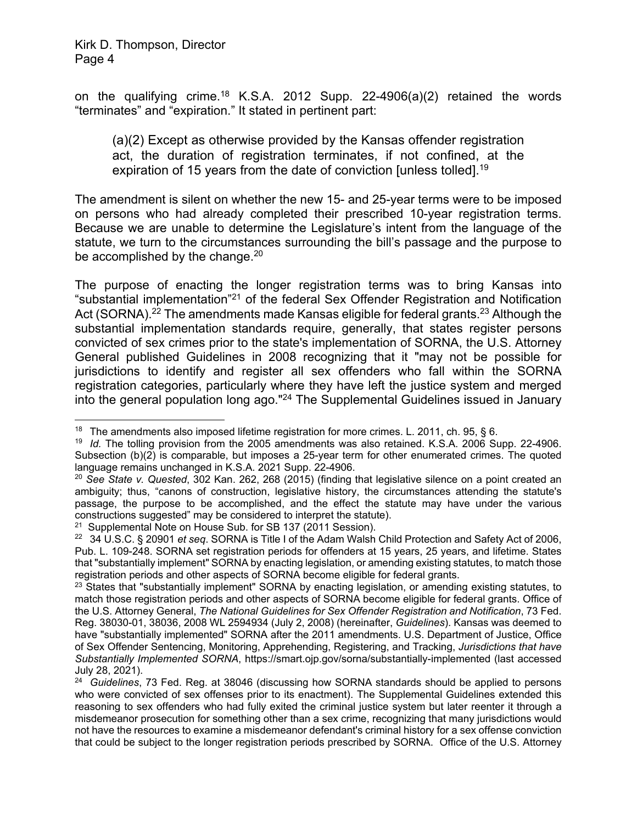on the qualifying crime.<sup>18</sup> K.S.A. 2012 Supp. 22-4906(a)(2) retained the words "terminates" and "expiration." It stated in pertinent part:

(a)(2) Except as otherwise provided by the Kansas offender registration act, the duration of registration terminates, if not confined, at the expiration of 15 years from the date of conviction [unless tolled].<sup>19</sup>

The amendment is silent on whether the new 15- and 25-year terms were to be imposed on persons who had already completed their prescribed 10-year registration terms. Because we are unable to determine the Legislature's intent from the language of the statute, we turn to the circumstances surrounding the bill's passage and the purpose to be accomplished by the change.<sup>20</sup>

The purpose of enacting the longer registration terms was to bring Kansas into "substantial implementation"21 of the federal Sex Offender Registration and Notification Act (SORNA).<sup>22</sup> The amendments made Kansas eligible for federal grants.<sup>23</sup> Although the substantial implementation standards require, generally, that states register persons convicted of sex crimes prior to the state's implementation of SORNA, the U.S. Attorney General published Guidelines in 2008 recognizing that it "may not be possible for jurisdictions to identify and register all sex offenders who fall within the SORNA registration categories, particularly where they have left the justice system and merged into the general population long ago."24 The Supplemental Guidelines issued in January

<sup>&</sup>lt;sup>18</sup> The amendments also imposed lifetime registration for more crimes. L. 2011, ch. 95, § 6.

<sup>19</sup> *Id.* The tolling provision from the 2005 amendments was also retained. K.S.A. 2006 Supp. 22-4906. Subsection (b)(2) is comparable, but imposes a 25-year term for other enumerated crimes. The quoted language remains unchanged in K.S.A. 2021 Supp. 22-4906.

<sup>20</sup> *See State v. Quested*, 302 Kan. 262, 268 (2015) (finding that legislative silence on a point created an ambiguity; thus, "canons of construction, legislative history, the circumstances attending the statute's passage, the purpose to be accomplished, and the effect the statute may have under the various constructions suggested" may be considered to interpret the statute).

<sup>&</sup>lt;sup>21</sup> Supplemental Note on House Sub. for SB 137 (2011 Session).

<sup>22 34</sup> U.S.C. § 20901 *et seq*. SORNA is Title I of the Adam Walsh Child Protection and Safety Act of 2006, Pub. L. 109-248. SORNA set registration periods for offenders at 15 years, 25 years, and lifetime. States that "substantially implement" SORNA by enacting legislation, or amending existing statutes, to match those registration periods and other aspects of SORNA become eligible for federal grants.

<sup>&</sup>lt;sup>23</sup> States that "substantially implement" SORNA by enacting legislation, or amending existing statutes, to match those registration periods and other aspects of SORNA become eligible for federal grants. Office of the U.S. Attorney General, *The National Guidelines for Sex Offender Registration and Notification*, 73 Fed. Reg. 38030-01, 38036, 2008 WL 2594934 (July 2, 2008) (hereinafter, *Guidelines*). Kansas was deemed to have "substantially implemented" SORNA after the 2011 amendments. U.S. Department of Justice, Office of Sex Offender Sentencing, Monitoring, Apprehending, Registering, and Tracking, *Jurisdictions that have Substantially Implemented SORNA*, https://smart.ojp.gov/sorna/substantially-implemented (last accessed July 28, 2021).

<sup>24</sup> *Guidelines*, 73 Fed. Reg. at 38046 (discussing how SORNA standards should be applied to persons who were convicted of sex offenses prior to its enactment). The Supplemental Guidelines extended this reasoning to sex offenders who had fully exited the criminal justice system but later reenter it through a misdemeanor prosecution for something other than a sex crime, recognizing that many jurisdictions would not have the resources to examine a misdemeanor defendant's criminal history for a sex offense conviction that could be subject to the longer registration periods prescribed by SORNA. Office of the U.S. Attorney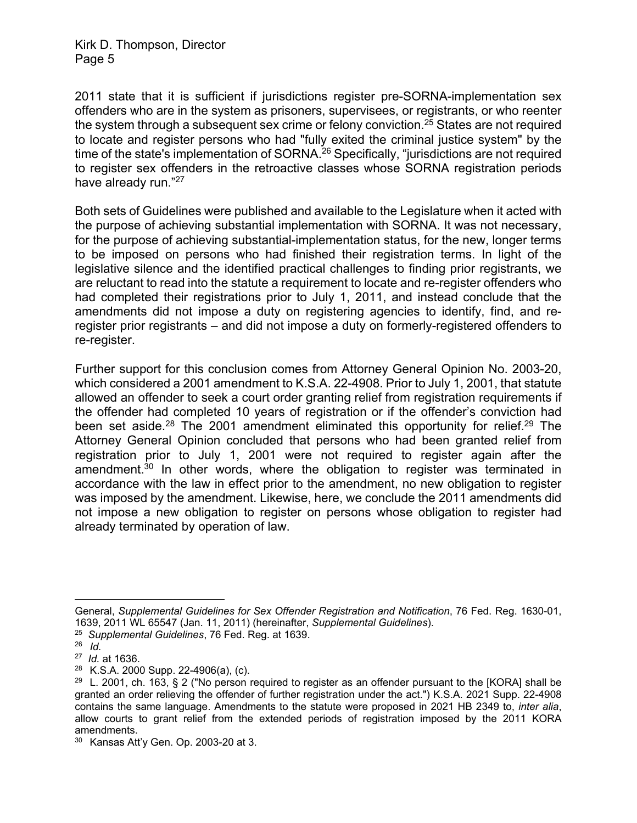2011 state that it is sufficient if jurisdictions register pre-SORNA-implementation sex offenders who are in the system as prisoners, supervisees, or registrants, or who reenter the system through a subsequent sex crime or felony conviction.<sup>25</sup> States are not required to locate and register persons who had "fully exited the criminal justice system" by the time of the state's implementation of SORNA.<sup>26</sup> Specifically, "jurisdictions are not required to register sex offenders in the retroactive classes whose SORNA registration periods have already run."27

Both sets of Guidelines were published and available to the Legislature when it acted with the purpose of achieving substantial implementation with SORNA. It was not necessary, for the purpose of achieving substantial-implementation status, for the new, longer terms to be imposed on persons who had finished their registration terms. In light of the legislative silence and the identified practical challenges to finding prior registrants, we are reluctant to read into the statute a requirement to locate and re-register offenders who had completed their registrations prior to July 1, 2011, and instead conclude that the amendments did not impose a duty on registering agencies to identify, find, and reregister prior registrants – and did not impose a duty on formerly-registered offenders to re-register.

Further support for this conclusion comes from Attorney General Opinion No. 2003-20, which considered a 2001 amendment to K.S.A. 22-4908. Prior to July 1, 2001, that statute allowed an offender to seek a court order granting relief from registration requirements if the offender had completed 10 years of registration or if the offender's conviction had been set aside.<sup>28</sup> The 2001 amendment eliminated this opportunity for relief.<sup>29</sup> The Attorney General Opinion concluded that persons who had been granted relief from registration prior to July 1, 2001 were not required to register again after the amendment.30 In other words, where the obligation to register was terminated in accordance with the law in effect prior to the amendment, no new obligation to register was imposed by the amendment. Likewise, here, we conclude the 2011 amendments did not impose a new obligation to register on persons whose obligation to register had already terminated by operation of law.

General, *Supplemental Guidelines for Sex Offender Registration and Notification*, 76 Fed. Reg. 1630-01, 1639, 2011 WL 65547 (Jan. 11, 2011) (hereinafter, *Supplemental Guidelines*).

<sup>25</sup> *Supplemental Guidelines*, 76 Fed. Reg. at 1639.

<sup>26</sup> *Id.* 

<sup>27</sup> *Id.* at 1636.

 $28$  K.S.A. 2000 Supp. 22-4906(a), (c).

<sup>&</sup>lt;sup>29</sup> L. 2001, ch. 163, § 2 ("No person required to register as an offender pursuant to the [KORA] shall be granted an order relieving the offender of further registration under the act.") K.S.A. 2021 Supp. 22-4908 contains the same language. Amendments to the statute were proposed in 2021 HB 2349 to, *inter alia*, allow courts to grant relief from the extended periods of registration imposed by the 2011 KORA amendments.

 $30$  Kansas Att'y Gen. Op. 2003-20 at 3.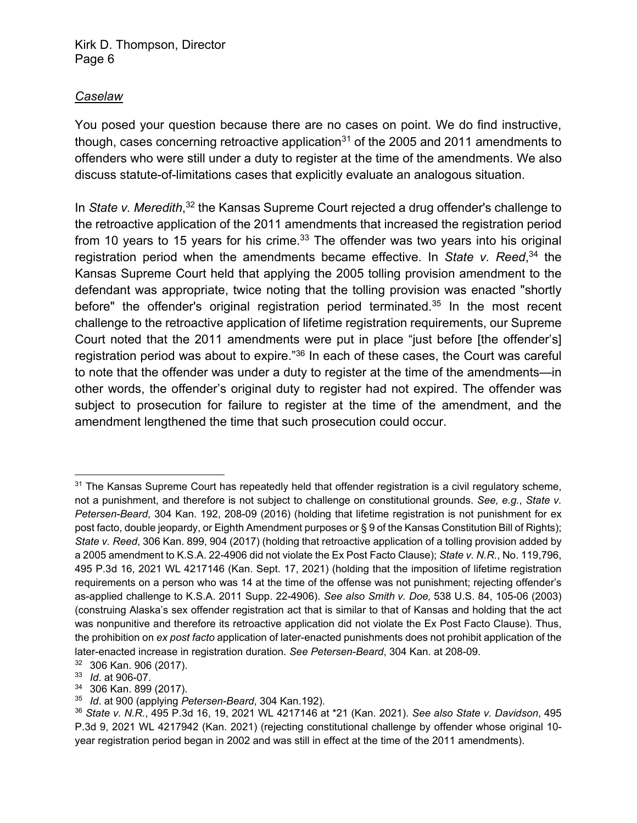# *Caselaw*

You posed your question because there are no cases on point. We do find instructive, though, cases concerning retroactive application<sup>31</sup> of the 2005 and 2011 amendments to offenders who were still under a duty to register at the time of the amendments. We also discuss statute-of-limitations cases that explicitly evaluate an analogous situation.

In State v. Meredith,<sup>32</sup> the Kansas Supreme Court rejected a drug offender's challenge to the retroactive application of the 2011 amendments that increased the registration period from 10 years to 15 years for his crime. $33$  The offender was two years into his original registration period when the amendments became effective. In *State v. Reed*, 34 the Kansas Supreme Court held that applying the 2005 tolling provision amendment to the defendant was appropriate, twice noting that the tolling provision was enacted "shortly before" the offender's original registration period terminated.<sup>35</sup> In the most recent challenge to the retroactive application of lifetime registration requirements, our Supreme Court noted that the 2011 amendments were put in place "just before [the offender's] registration period was about to expire."36 In each of these cases, the Court was careful to note that the offender was under a duty to register at the time of the amendments—in other words, the offender's original duty to register had not expired. The offender was subject to prosecution for failure to register at the time of the amendment, and the amendment lengthened the time that such prosecution could occur.

 $31$  The Kansas Supreme Court has repeatedly held that offender registration is a civil regulatory scheme, not a punishment, and therefore is not subject to challenge on constitutional grounds. *See, e.g.*, *State v. Petersen-Beard*, 304 Kan. 192, 208-09 (2016) (holding that lifetime registration is not punishment for ex post facto, double jeopardy, or Eighth Amendment purposes or § 9 of the Kansas Constitution Bill of Rights); *State v. Reed*, 306 Kan. 899, 904 (2017) (holding that retroactive application of a tolling provision added by a 2005 amendment to K.S.A. 22-4906 did not violate the Ex Post Facto Clause); *State v. N.R.*, No. 119,796, 495 P.3d 16, 2021 WL 4217146 (Kan. Sept. 17, 2021) (holding that the imposition of lifetime registration requirements on a person who was 14 at the time of the offense was not punishment; rejecting offender's as-applied challenge to K.S.A. 2011 Supp. 22-4906). *See also Smith v. Doe,* 538 U.S. 84, 105-06 (2003) (construing Alaska's sex offender registration act that is similar to that of Kansas and holding that the act was nonpunitive and therefore its retroactive application did not violate the Ex Post Facto Clause). Thus, the prohibition on *ex post facto* application of later-enacted punishments does not prohibit application of the later-enacted increase in registration duration. *See Petersen-Beard*, 304 Kan. at 208-09.

<sup>32 306</sup> Kan. 906 (2017).

<sup>33</sup> *Id*. at 906-07.

<sup>34 306</sup> Kan. 899 (2017).

<sup>35</sup> *Id*. at 900 (applying *Petersen-Beard*, 304 Kan.192).

<sup>36</sup> *State v. N.R.*, 495 P.3d 16, 19, 2021 WL 4217146 at \*21 (Kan. 2021). *See also State v. Davidson*, 495 P.3d 9, 2021 WL 4217942 (Kan. 2021) (rejecting constitutional challenge by offender whose original 10 year registration period began in 2002 and was still in effect at the time of the 2011 amendments).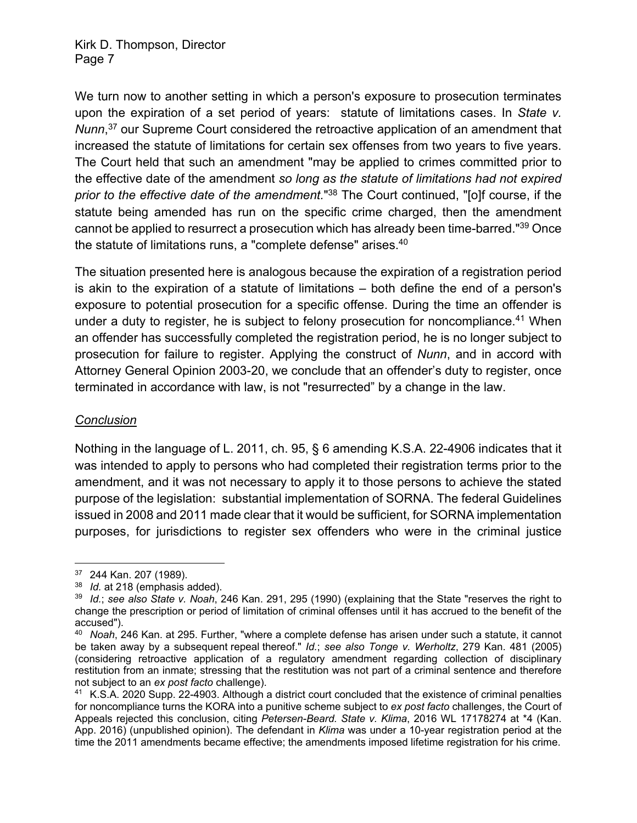We turn now to another setting in which a person's exposure to prosecution terminates upon the expiration of a set period of years: statute of limitations cases. In *State v. Nunn*, 37 our Supreme Court considered the retroactive application of an amendment that increased the statute of limitations for certain sex offenses from two years to five years. The Court held that such an amendment "may be applied to crimes committed prior to the effective date of the amendment *so long as the statute of limitations had not expired prior to the effective date of the amendment.*"38 The Court continued, "[o]f course, if the statute being amended has run on the specific crime charged, then the amendment cannot be applied to resurrect a prosecution which has already been time-barred."39 Once the statute of limitations runs, a "complete defense" arises.<sup>40</sup>

The situation presented here is analogous because the expiration of a registration period is akin to the expiration of a statute of limitations – both define the end of a person's exposure to potential prosecution for a specific offense. During the time an offender is under a duty to register, he is subject to felony prosecution for noncompliance.<sup>41</sup> When an offender has successfully completed the registration period, he is no longer subject to prosecution for failure to register. Applying the construct of *Nunn*, and in accord with Attorney General Opinion 2003-20, we conclude that an offender's duty to register, once terminated in accordance with law, is not "resurrected" by a change in the law.

## *Conclusion*

Nothing in the language of L. 2011, ch. 95, § 6 amending K.S.A. 22-4906 indicates that it was intended to apply to persons who had completed their registration terms prior to the amendment, and it was not necessary to apply it to those persons to achieve the stated purpose of the legislation: substantial implementation of SORNA. The federal Guidelines issued in 2008 and 2011 made clear that it would be sufficient, for SORNA implementation purposes, for jurisdictions to register sex offenders who were in the criminal justice

<sup>37 244</sup> Kan. 207 (1989).

<sup>38</sup> *Id.* at 218 (emphasis added).

<sup>39</sup> *Id.*; *see also State v. Noah*, 246 Kan. 291, 295 (1990) (explaining that the State "reserves the right to change the prescription or period of limitation of criminal offenses until it has accrued to the benefit of the accused").

<sup>40</sup> *Noah*, 246 Kan. at 295. Further, "where a complete defense has arisen under such a statute, it cannot be taken away by a subsequent repeal thereof." *Id.*; *see also Tonge v. Werholtz*, 279 Kan. 481 (2005) (considering retroactive application of a regulatory amendment regarding collection of disciplinary restitution from an inmate; stressing that the restitution was not part of a criminal sentence and therefore not subject to an *ex post facto* challenge).

<sup>&</sup>lt;sup>41</sup> K.S.A. 2020 Supp. 22-4903. Although a district court concluded that the existence of criminal penalties for noncompliance turns the KORA into a punitive scheme subject to *ex post facto* challenges, the Court of Appeals rejected this conclusion, citing *Petersen-Beard. State v. Klima*, 2016 WL 17178274 at \*4 (Kan. App. 2016) (unpublished opinion). The defendant in *Klima* was under a 10-year registration period at the time the 2011 amendments became effective; the amendments imposed lifetime registration for his crime.